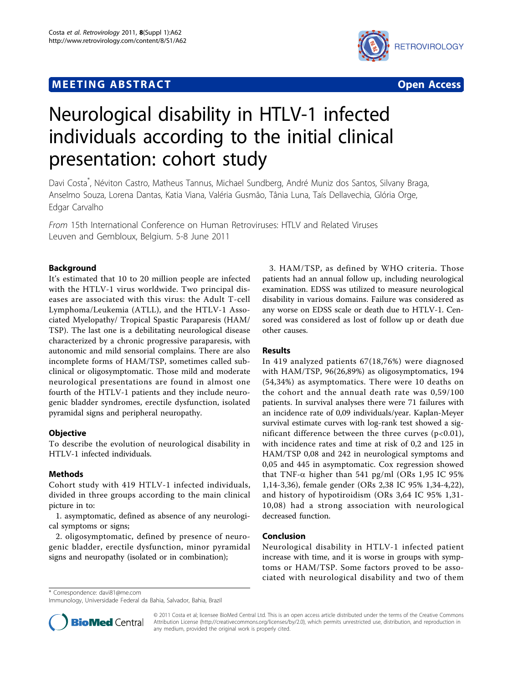## **MEETING ABSTRACT And CONSTRACT CONSTRACT CONSTRACT**



# Neurological disability in HTLV-1 infected individuals according to the initial clinical presentation: cohort study

Davi Costa\* , Néviton Castro, Matheus Tannus, Michael Sundberg, André Muniz dos Santos, Silvany Braga, Anselmo Souza, Lorena Dantas, Katia Viana, Valéria Gusmão, Tânia Luna, Taís Dellavechia, Glória Orge, Edgar Carvalho

From 15th International Conference on Human Retroviruses: HTLV and Related Viruses Leuven and Gembloux, Belgium. 5-8 June 2011

### Background

It's estimated that 10 to 20 million people are infected with the HTLV-1 virus worldwide. Two principal diseases are associated with this virus: the Adult T-cell Lymphoma/Leukemia (ATLL), and the HTLV-1 Associated Myelopathy/ Tropical Spastic Paraparesis (HAM/ TSP). The last one is a debilitating neurological disease characterized by a chronic progressive paraparesis, with autonomic and mild sensorial complains. There are also incomplete forms of HAM/TSP, sometimes called subclinical or oligosymptomatic. Those mild and moderate neurological presentations are found in almost one fourth of the HTLV-1 patients and they include neurogenic bladder syndromes, erectile dysfunction, isolated pyramidal signs and peripheral neuropathy.

#### **Objective**

To describe the evolution of neurological disability in HTLV-1 infected individuals.

#### Methods

Cohort study with 419 HTLV-1 infected individuals, divided in three groups according to the main clinical picture in to:

1. asymptomatic, defined as absence of any neurological symptoms or signs;

2. oligosymptomatic, defined by presence of neurogenic bladder, erectile dysfunction, minor pyramidal signs and neuropathy (isolated or in combination);

3. HAM/TSP, as defined by WHO criteria. Those patients had an annual follow up, including neurological examination. EDSS was utilized to measure neurological disability in various domains. Failure was considered as any worse on EDSS scale or death due to HTLV-1. Censored was considered as lost of follow up or death due other causes.

#### Results

In 419 analyzed patients 67(18,76%) were diagnosed with HAM/TSP, 96(26,89%) as oligosymptomatics, 194 (54,34%) as asymptomatics. There were 10 deaths on the cohort and the annual death rate was 0,59/100 patients. In survival analyses there were 71 failures with an incidence rate of 0,09 individuals/year. Kaplan-Meyer survival estimate curves with log-rank test showed a significant difference between the three curves  $(p<0.01)$ , with incidence rates and time at risk of 0,2 and 125 in HAM/TSP 0,08 and 242 in neurological symptoms and 0,05 and 445 in asymptomatic. Cox regression showed that TNF- $\alpha$  higher than 541 pg/ml (ORs 1,95 IC 95% 1,14-3,36), female gender (ORs 2,38 IC 95% 1,34-4,22), and history of hypotiroidism (ORs 3,64 IC 95% 1,31- 10,08) had a strong association with neurological decreased function.

#### Conclusion

Neurological disability in HTLV-1 infected patient increase with time, and it is worse in groups with symptoms or HAM/TSP. Some factors proved to be associated with neurological disability and two of them

\* Correspondence: [davi81@me.com](mailto:davi81@me.com)

Immunology, Universidade Federal da Bahia, Salvador, Bahia, Brazil



© 2011 Costa et al; licensee BioMed Central Ltd. This is an open access article distributed under the terms of the Creative Commons Attribution License [\(http://creativecommons.org/licenses/by/2.0](http://creativecommons.org/licenses/by/2.0)), which permits unrestricted use, distribution, and reproduction in any medium, provided the original work is properly cited.